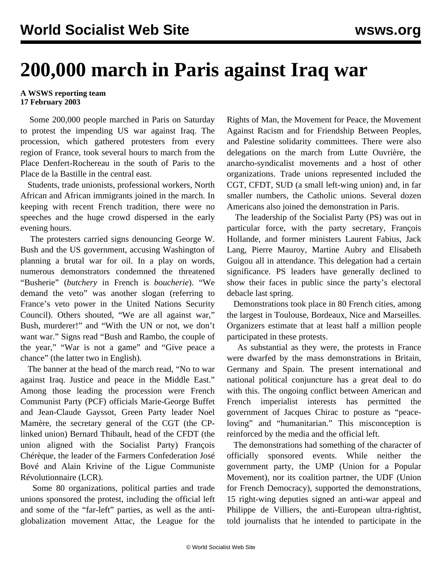## **200,000 march in Paris against Iraq war**

## **A WSWS reporting team 17 February 2003**

 Some 200,000 people marched in Paris on Saturday to protest the impending US war against Iraq. The procession, which gathered protesters from every region of France, took several hours to march from the Place Denfert-Rochereau in the south of Paris to the Place de la Bastille in the central east.

 Students, trade unionists, professional workers, North African and African immigrants joined in the march. In keeping with recent French tradition, there were no speeches and the huge crowd dispersed in the early evening hours.

 The protesters carried signs denouncing George W. Bush and the US government, accusing Washington of planning a brutal war for oil. In a play on words, numerous demonstrators condemned the threatened "Busherie" (*butchery* in French is *boucherie*). "We demand the veto" was another slogan (referring to France's veto power in the United Nations Security Council). Others shouted, "We are all against war," Bush, murderer!" and "With the UN or not, we don't want war." Signs read "Bush and Rambo, the couple of the year," "War is not a game" and "Give peace a chance" (the latter two in English).

 The banner at the head of the march read, "No to war against Iraq. Justice and peace in the Middle East." Among those leading the procession were French Communist Party (PCF) officials Marie-George Buffet and Jean-Claude Gayssot, Green Party leader Noel Mamère, the secretary general of the CGT (the CPlinked union) Bernard Thibault, head of the CFDT (the union aligned with the Socialist Party) François Chérèque, the leader of the Farmers Confederation José Bové and Alain Krivine of the Ligue Communiste Révolutionnaire (LCR).

 Some 80 organizations, political parties and trade unions sponsored the protest, including the official left and some of the "far-left" parties, as well as the antiglobalization movement Attac, the League for the Rights of Man, the Movement for Peace, the Movement Against Racism and for Friendship Between Peoples, and Palestine solidarity committees. There were also delegations on the march from Lutte Ouvrière, the anarcho-syndicalist movements and a host of other organizations. Trade unions represented included the CGT, CFDT, SUD (a small left-wing union) and, in far smaller numbers, the Catholic unions. Several dozen Americans also joined the demonstration in Paris.

 The leadership of the Socialist Party (PS) was out in particular force, with the party secretary, François Hollande, and former ministers Laurent Fabius, Jack Lang, Pierre Mauroy, Martine Aubry and Elisabeth Guigou all in attendance. This delegation had a certain significance. PS leaders have generally declined to show their faces in public since the party's electoral debacle last spring.

 Demonstrations took place in 80 French cities, among the largest in Toulouse, Bordeaux, Nice and Marseilles. Organizers estimate that at least half a million people participated in these protests.

 As substantial as they were, the protests in France were dwarfed by the mass demonstrations in Britain, Germany and Spain. The present international and national political conjuncture has a great deal to do with this. The ongoing conflict between American and French imperialist interests has permitted the government of Jacques Chirac to posture as "peaceloving" and "humanitarian." This misconception is reinforced by the media and the official left.

 The demonstrations had something of the character of officially sponsored events. While neither the government party, the UMP (Union for a Popular Movement), nor its coalition partner, the UDF (Union for French Democracy), supported the demonstrations, 15 right-wing deputies signed an anti-war appeal and Philippe de Villiers, the anti-European ultra-rightist, told journalists that he intended to participate in the